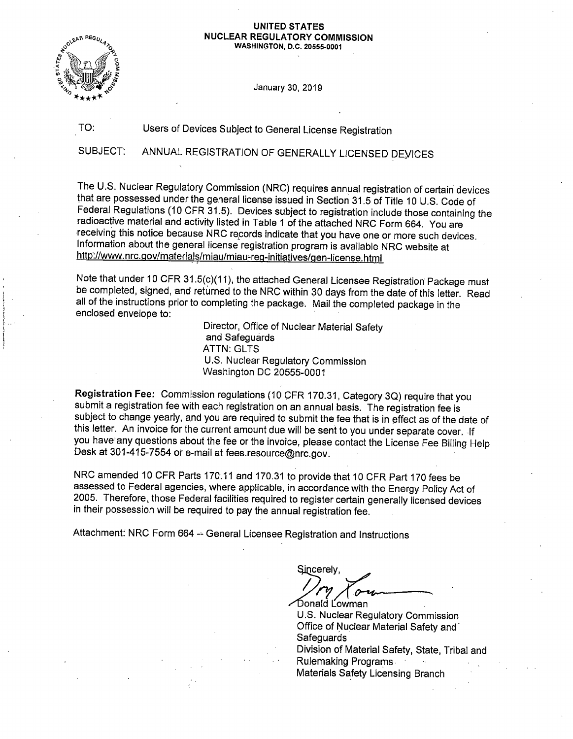## **UNITED STATES NUCLEAR REGULATORY COMMISSION**

**WASHINGTON, D.C. 20555-0001** 



TO:

January 30, 2019

Users of Devices Subject to General License Registration

SUBJECT: ANNUAL REGISTRATION OF GENERALLY LICENSED DEYICES

The U.S. Nuclear Regulatory Commission (NRG) requires annual registration of certain devices that are possessed under the general license issued in Section 31.5 of Title 10 U.S. Code of Federal Regulations (10 CFR 31.5). Devices subject to registration include those containing the radioactive material and activity listed in Table 1 of the attached NRC Form 664. You are receiving this notice because NRC records indicate that you have one or more such devices. Information about the general license registration program is available NRC website at http://www.nrc.gov/materials/miau/miau-reg-initiatives/gen-license.html

Note that under 10 CFR 31.5(c)(11), the attached General Licensee Registration Package must be completed, signed, and returned to the NRC within 30 days from the date of this letter. Read all of the instructions prior to completing the package. Mail the completed package in the enclosed envelope to:

> Director, Office of Nuclear Material Safety and Safeguards **ATTN: GLTS** U.S. Nuclear Regulatory Commission Washington DC 20555-0001

Registration Fee: Commission regulations (10 CFR 170.31, Category 3Q) require that you submit a registration fee with each registration on an annual basis. The registration fee is subject to change yearly, and you are required to submit the fee that is in effect as of the date of this letter. An invoice for the current amount due will be sent to you under separate cover. -If you have any questions about the fee or the invoice, please contact the License Fee Billing Help Desk at 301-415-7554 or e-mail at fees.resource@nrc.gov.

NRC amended 10 CFR Parts 170.11 and 170.31 to provide that 10 CFR Part 170 fees be assessed to Federal agencies, where applicable, in accordance with the Energy Policy Act of 2005. Therefore, those Federal facilities required to register certain generally licensed devices in their possession will be required to pay the annual registration fee.

Attachment: NRC Form 664 -- General Licensee Registration and Instructions

 $\frac{1}{\sqrt{N}}$ 

U.S. Nuclear Regulatory Commission Office of Nuclear Material Safety and **Safeguards** Division of Material Safety, State, Tribal and Rulemaking Programs Materials Safety Licensing Branch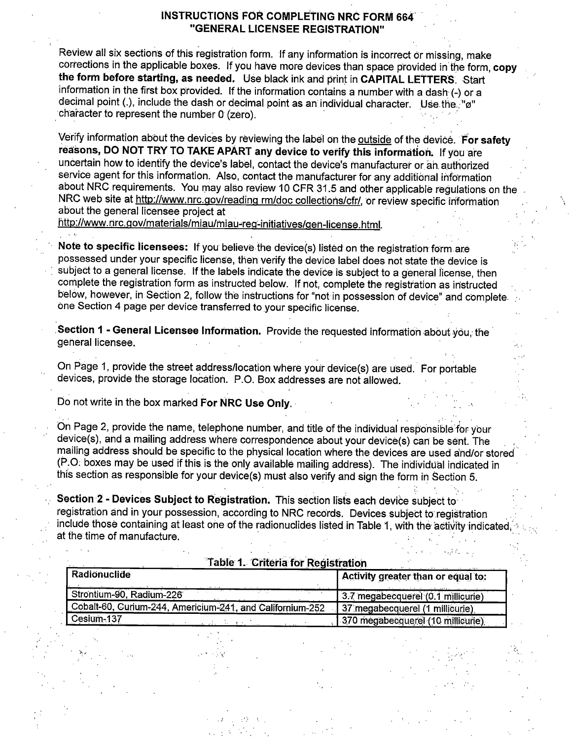### **INSTRUCTIONS FOR COMPLE'tlNG NRC FORM 664'** . **"GENERAL LICENSEE REGISTRATION"**

Review all six sections of this registration form. If any information is incorrect or missing, make corrections in the applicable boxes. If you have more devices than space provided in the form, copy **the form before starting, as needed.** Use black ink and print in **CAPITAL LETTERS.** Start information in the first box provided. If the information contains a number with a dash(-) or a decimal point (.), include the dash or decimal point as an individual character. Use the ..."g" character to represent the number 0 (zero).

Verify information about the devices by reviewing the label on the outside of the device. For safety reasons, DO NOT TRY TO TAKE APART any device to verify this information. If you are uncertain how to identify the device's label, contact the device's manufacturer or ah. authorized service agent for this information. Also, contact the manufacturer for any additional information about NRC requirements. You may also review 10 CFR 31.5 and other applicable regulations on the NRC web site at http://www.nrc.gov/reading rm/doc collections/cfr/, or review specific information about the general licensee project at

http://www.nrc.gov/materials/miau/miau-reg-initiatives/gen-license.html.

Note to specific licensees: If you believe the device(s) listed on the registration form are possessed under your specific license, then verify the device label does not state the device is subject to a general license. If the labels indicate the device is subject to a general license, then complete the registration form as instructed below. If not, complete the registration as in'structed below, however, in Section 2, follow the instructions for "not in possession of device" and complete. one Section 4 page per device transferred to your specific license .

Section 1 - General Licensee Information. Provide the requested information about you, the general licensee.

On Page 1, provide the street address/location where your device(s) are used. For portable devices, provide the storage location. P.O. Box addresses are not allowed.

bo not write in the box marked **For NRC Use Only.** ·

On Page 2, provide the name, telephone number, and title of the individual responsible for your device(s), and a mailing address where correspondence about your device(s) can be sent. The , mailing address should be specific to the physical location where the devices are used and/or stored (P.O: boxes may be used if this is the only available mailing address). The individual indicated in this section as responsible for your device(s) must also verify and sign the form in Section 5.

**Section 2 - Devices Subject to Registration.** This section lists each device subject to registration and in your possession, according to NRC records. Devices subject to registration . include those containing at least one of the radionuclides listed in Table 1, with the activity indicated at the time of manufacture.

. ':' : ~ .. '

| Table 1. Criteria for Registration                        |                                    |
|-----------------------------------------------------------|------------------------------------|
| Radionuclide                                              | Activity greater than or equal to: |
| Strontium-90, Radium-226                                  | 3.7 megabecquerel (0.1 millicurie) |
| Cobalt-60, Curium-244, Americium-241, and Californium-252 | 37 megabecquerel (1 millicurie)    |
| Cesium-137                                                | 370 megabecquerel (10 millicurie)  |

. ·,, ' .' \.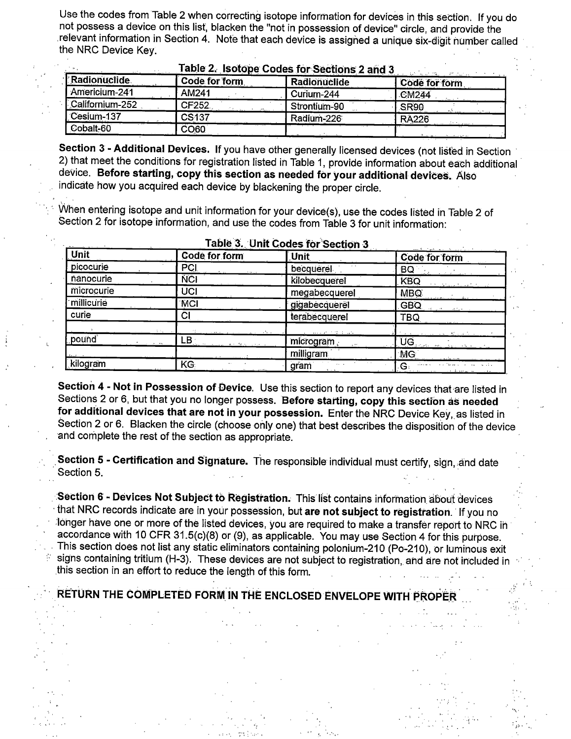Use the codes from Table 2 when correcting isotope information for devices in this section. If you do not possess a device on this list, blacken the "not in possession of device" circle, and provide the relevant information in Section 4. Note that each device is assigned a unique six-digit number called the NRC Device Key.

|                     |                   | Fable 2. ISOLODE CODES TOP SECTIONS 2 and 3 | ಿನ್ ಮೆಟ್ ಸಾಂ  |
|---------------------|-------------------|---------------------------------------------|---------------|
| <b>Radionuclide</b> | Code for form     | Radionuclide                                | Code for form |
| Americium-241       | AM241             | Curium-244                                  | <b>CM244</b>  |
| Californium-252     | CF252             | Strontium-90                                | SR90          |
| Cesium-137          | CS <sub>137</sub> | Radium-226                                  | <b>RA226</b>  |
| Cobalt-60           | CO60              |                                             |               |

Section 3 - Additional Devices. If you have other generally licensed devices (not listed in Section 2) that meet the conditions for registration listed in Table 1, provide information about each additional device. Before starting, copy this section as needed for your additional devices. Also indicate how you acquired each device by blackening the proper circle.

When entering isotope and unit information for your device(s), use the codes listed in Table 2 of Section 2 for isotope information, and use the codes from Table 3 for unit information:

| Unit       | Code for form                                                                                                                                                                                                                                                                                                                                                                                                                                                                   | Unit             | the same in the control of the same<br>Code for form |
|------------|---------------------------------------------------------------------------------------------------------------------------------------------------------------------------------------------------------------------------------------------------------------------------------------------------------------------------------------------------------------------------------------------------------------------------------------------------------------------------------|------------------|------------------------------------------------------|
| picocurie  | PCI                                                                                                                                                                                                                                                                                                                                                                                                                                                                             | becquerel        | BQ<br>in a constitution of                           |
| nanocurie  | <b>NCI</b>                                                                                                                                                                                                                                                                                                                                                                                                                                                                      | kilobecquerel    | <b>KBQ</b><br><b>EXCISION NUMBER</b>                 |
| microcurie | UCI                                                                                                                                                                                                                                                                                                                                                                                                                                                                             | megabecquerel    | MBQ.<br>.<br>Nasarawan wanda da kasa                 |
| millicurie | <b>MCI</b>                                                                                                                                                                                                                                                                                                                                                                                                                                                                      | gigabecquerel    | GBQ.<br>Solomontary                                  |
| curie      | СI                                                                                                                                                                                                                                                                                                                                                                                                                                                                              | terabecquerel    | <b>TBQ</b>                                           |
|            |                                                                                                                                                                                                                                                                                                                                                                                                                                                                                 |                  |                                                      |
| pound      | $\overline{\phantom{a}}$ $\overline{\phantom{a}}$ $\overline{\phantom{a}}$ $\overline{\phantom{a}}$ $\overline{\phantom{a}}$ $\overline{\phantom{a}}$ $\overline{\phantom{a}}$ $\overline{\phantom{a}}$ $\overline{\phantom{a}}$ $\overline{\phantom{a}}$ $\overline{\phantom{a}}$ $\overline{\phantom{a}}$ $\overline{\phantom{a}}$ $\overline{\phantom{a}}$ $\overline{\phantom{a}}$ $\overline{\phantom{a}}$ $\overline{\phantom{a}}$ $\overline{\phantom{a}}$ $\overline{\$ | microgram,       |                                                      |
|            |                                                                                                                                                                                                                                                                                                                                                                                                                                                                                 | milligram        | $\frac{1}{10}$                                       |
| kilogram   | KG.                                                                                                                                                                                                                                                                                                                                                                                                                                                                             | gram<br>$\cdots$ | $\mathbf{G}$ . The set of the set of $\mathbf{G}$    |

### Table 3. Unit Codes for Section 3

Section 4 - Not in Possession of Device. Use this section to report any devices that are listed in Sections 2 or 6, but that you no longer possess. Before starting, copy this section as needed for additional devices that are not in your possession. Enter the NRC Device Key, as listed in Section 2 or 6. Blacken the circle (choose only one) that best describes the disposition of the device and complete the rest of the section as appropriate.

Section 5 - Certification and Signature. The responsible individual must certify, sign, and date Section 5.

Section 6 - Devices Not Subject to Registration. This list contains information about devices that NRC records indicate are in your possession, but are not subject to registration. If you no longer have one or more of the listed devices, you are required to make a transfer report to NRC in accordance with 10 CFR 31.5(c)(8) or (9), as applicable. You may use Section 4 for this purpose. This section does not list any static eliminators containing polonium-210 (Po-210), or luminous exit signs containing tritium (H-3). These devices are not subject to registration, and are not included in this section in an effort to reduce the length of this form.

## RETURN THE COMPLETED FORM IN THE ENCLOSED ENVELOPE WITH PROPER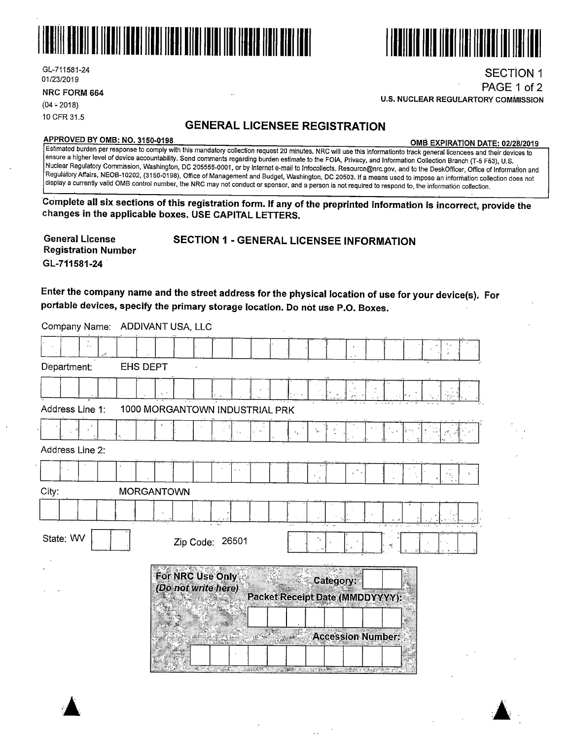



**U.S. NUCLEAR REGULARTORY COMMISSION** 

GL-711581-24 01/23/2019

**NRC FORM 664** 

 $(04 - 2018)$ 10 CFR 31.5

## **GENERAL LICENSEE REGISTRATION**

 $\ddotsc$ 

Company Name: ADDIVANT USA, LLC

**APPROVED BY 0MB: NO. 3150-0198 0MB EXPIRATION DATE: 02/28/2019** 

SECTION 1 PAGE 1 of 2

Estimated burden per response to comply with this mandatory collection request 20 minutes. NRC will use this informationto track general licencees and their devices to ensure a higher level of device accountability. Send comments regarding burden estimate to the FOIA, Privacy, and Information Collection Branch (T-5 F53), U.S. Nuclear Regulatory Commission, Washington, DC 205555-0001, or by internet e-mail to lnfotollects. Resource@nrc.gov, and to the DeskOfficer, Office of Information and Regulatory Affairs, NEOB-10202, (3150-0198), Office of Management and Budget, Washington, DC 20503. If a means used to impose an information collection does not display a currently valid 0MB control number, the NRC may not conduct or sponsor, and a person is not required to respond to, the information collection.

**'Complete all six sections of this registration form. If any of the preprinted informatio'r'1 is incorrect, provide'the changes in the applicable boxes. USE CAPITAL LETTERS.** 

| <b>General License</b> | <b>SECTION 1 - GENERAL LICENSEE INFORMATION</b> |
|------------------------|-------------------------------------------------|
| Registration Number    |                                                 |
| GL-711581-24           |                                                 |

**Enter the company name and the street address for the physical location of use for your device(s). For portable devices, specify the primary storage location. Do not use P .0. Boxes.** 

| Department:<br><b>EHS DEPT</b> |                                           |                 |                                              |                          |  |
|--------------------------------|-------------------------------------------|-----------------|----------------------------------------------|--------------------------|--|
|                                |                                           |                 |                                              |                          |  |
| Address Line 1:                | 1000 MORGANTOWN INDUSTRIAL PRK            |                 |                                              |                          |  |
|                                |                                           |                 |                                              |                          |  |
| Address Line 2:                |                                           |                 |                                              |                          |  |
|                                |                                           |                 |                                              |                          |  |
| City:                          | <b>MORGANTOWN</b>                         |                 |                                              |                          |  |
|                                |                                           |                 |                                              |                          |  |
| State: WV                      | Zip Code: 26501                           |                 |                                              |                          |  |
|                                | For NRC Use Only :<br>(Do not write here) |                 | Category:<br>Packet Receipt Date (MMDDYYYY): |                          |  |
|                                |                                           | <sub>a</sub> ge | <b>SALES</b>                                 | <b>Accession Number:</b> |  |

 $\sim$   $\sim$ 

 $\sim$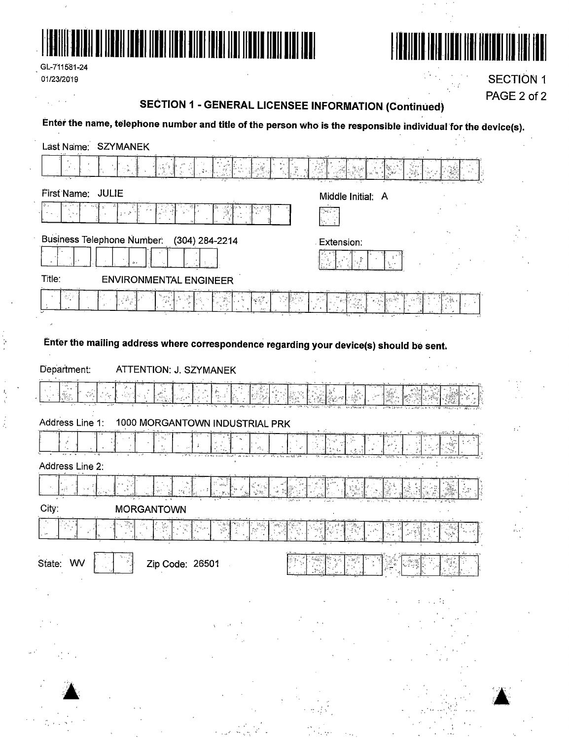



|            | GL-711581-24 |
|------------|--------------|
| 01/23/2019 |              |

÷,

 $\begin{array}{c} \bar{E}_1 \\ \bar{S}_2 \\ \bar{S}_3 \end{array}$ 

**SECTION 1** PAGE 2 of 2

# **SECTION 1 - GENERAL LICENSEE INFORMATION (Continued)**

Enter the name, telephone number and title of the person who is the responsible individual for the device(s).

| Last Name: SZYMANEK                                                                     |                   |
|-----------------------------------------------------------------------------------------|-------------------|
|                                                                                         |                   |
| First Name: JULIE                                                                       | Middle Initial: A |
|                                                                                         | Уś.               |
| Business Telephone Number: (304) 284-2214                                               | Extension:        |
|                                                                                         |                   |
| Title:<br><b>ENVIRONMENTAL ENGINEER</b>                                                 |                   |
| ڏڻي                                                                                     |                   |
|                                                                                         |                   |
| Enter the mailing address where correspondence regarding your device(s) should be sent. |                   |
| Department:<br>ATTENTION: J. SZYMANEK                                                   |                   |
| in<br>Ago<br>Ž¢.<br>$\mathcal{L}$                                                       |                   |
| Address Line 1:<br>1000 MORGANTOWN INDUSTRIAL PRK                                       | $\mathcal{L}$     |
|                                                                                         |                   |
| Address Line 2:                                                                         |                   |
|                                                                                         |                   |
| City:<br><b>MORGANTOWN</b>                                                              |                   |
| ψ\$                                                                                     |                   |
| (写真) 音<br>State: WV<br>Zip Code: 26501                                                  |                   |
|                                                                                         |                   |
|                                                                                         |                   |
|                                                                                         |                   |
|                                                                                         |                   |
|                                                                                         |                   |
|                                                                                         |                   |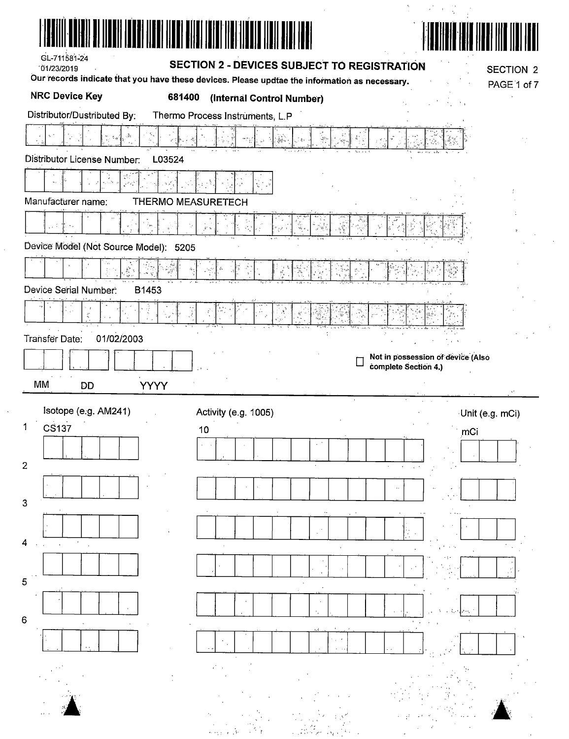|                                       | HƏ) ITENI ITENI DITEN TEINI IIDI                                                                                           |                                   |
|---------------------------------------|----------------------------------------------------------------------------------------------------------------------------|-----------------------------------|
| GL-711581-24<br>101/23/2019           | SECTION 2 - DEVICES SUBJECT TO REGISTRATION                                                                                | <b>SECTION 2</b>                  |
| <b>NRC Device Key</b><br>681400       | Our records indicate that you have these devices. Please updtae the information as necessary.<br>(Internal Control Number) | PAGE 1 of 7                       |
| Distributor/Dustributed By:           | Thermo Process Instruments, L.P                                                                                            |                                   |
|                                       | $\frac{1}{2}$<br>is.                                                                                                       |                                   |
| Distributor License Number:<br>L03524 |                                                                                                                            |                                   |
|                                       |                                                                                                                            |                                   |
| Manufacturer name:                    | THERMO MEASURETECH                                                                                                         |                                   |
| التقاعي                               |                                                                                                                            |                                   |
| Device Model (Not Source Model): 5205 | ÷.                                                                                                                         |                                   |
|                                       |                                                                                                                            |                                   |
|                                       | Ä                                                                                                                          |                                   |
| Device Serial Number:<br>B1453        |                                                                                                                            |                                   |
| $\mathcal{Z}$                         | $\frac{3}{2}$                                                                                                              |                                   |
|                                       |                                                                                                                            |                                   |
| 01/02/2003                            |                                                                                                                            |                                   |
|                                       |                                                                                                                            | Not in possession of device (Also |
| MM<br><b>YYYY</b><br>DD               |                                                                                                                            | complete Section 4.)              |
|                                       |                                                                                                                            |                                   |
| Isotope (e.g. AM241)<br><b>CS137</b>  | Activity (e.g. 1005)<br>10                                                                                                 | Unit (e.g. mCi)<br>mCi            |
|                                       |                                                                                                                            |                                   |
|                                       |                                                                                                                            |                                   |
| Transfer Date:<br>$\overline{c}$      |                                                                                                                            |                                   |
|                                       |                                                                                                                            |                                   |
|                                       |                                                                                                                            |                                   |
|                                       |                                                                                                                            |                                   |
|                                       |                                                                                                                            |                                   |
|                                       |                                                                                                                            |                                   |
|                                       |                                                                                                                            |                                   |
|                                       |                                                                                                                            |                                   |
|                                       |                                                                                                                            |                                   |
|                                       |                                                                                                                            |                                   |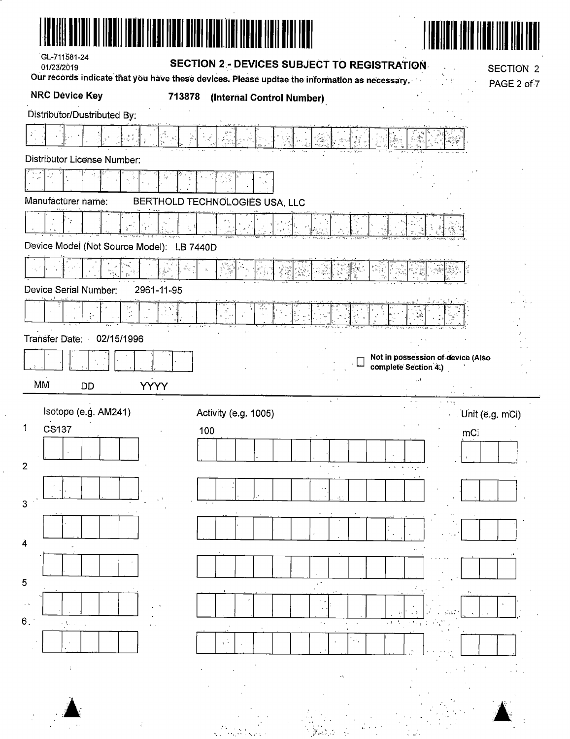| GL-711581-24                              |                                                                                                                                              |                                   |
|-------------------------------------------|----------------------------------------------------------------------------------------------------------------------------------------------|-----------------------------------|
| 01/23/2019                                | SECTION 2 - DEVICES SUBJECT TO REGISTRATION<br>Our records indicate that you have these devices. Please updtae the information as necessary. | <b>SECTION 2</b>                  |
| <b>NRC Device Key</b><br>713878           | (Internal Control Number)                                                                                                                    | PAGE 2 of 7                       |
| Distributor/Dustributed By:               |                                                                                                                                              |                                   |
|                                           |                                                                                                                                              |                                   |
| <b>Distributor License Number:</b>        |                                                                                                                                              |                                   |
|                                           |                                                                                                                                              |                                   |
| Manufacturer name:                        | BERTHOLD TECHNOLOGIES USA, LLC                                                                                                               |                                   |
|                                           |                                                                                                                                              |                                   |
| Device Model (Not Source Model): LB 7440D |                                                                                                                                              |                                   |
| $, \hat{\oplus}_{\alpha}^{\circ}$         |                                                                                                                                              |                                   |
| Device Serial Number:<br>2961-11-95       |                                                                                                                                              |                                   |
|                                           | $\mathcal{S}$                                                                                                                                |                                   |
| Transfer Date:<br>02/15/1996              |                                                                                                                                              |                                   |
|                                           |                                                                                                                                              | Not in possession of device (Also |
| MM                                        |                                                                                                                                              | complete Section 4.)              |
| <b>YYYY</b><br>DD                         |                                                                                                                                              | $\sim$ $\sim$ $\sim$              |
| Isotope (e.g. AM241)                      | Activity (e.g. 1005)                                                                                                                         | Unit (e.g. mCi)                   |
| 1<br>CS137                                | 100                                                                                                                                          | mCi                               |
| $\overline{2}$                            |                                                                                                                                              |                                   |
|                                           |                                                                                                                                              |                                   |
| 3                                         |                                                                                                                                              |                                   |
|                                           |                                                                                                                                              |                                   |
| 4                                         |                                                                                                                                              |                                   |
|                                           |                                                                                                                                              |                                   |
| 5                                         |                                                                                                                                              |                                   |
|                                           |                                                                                                                                              |                                   |
| $6^{\circ}$                               | $\mathbf{r}_{\mathrm{out}}$                                                                                                                  |                                   |
|                                           | $\star$ $\uparrow$                                                                                                                           |                                   |
|                                           |                                                                                                                                              |                                   |
|                                           |                                                                                                                                              |                                   |
|                                           |                                                                                                                                              |                                   |
|                                           |                                                                                                                                              |                                   |

 $\hat{A}$ 

 $\frac{1}{2}$ 

 $\hat{\vec{r}}$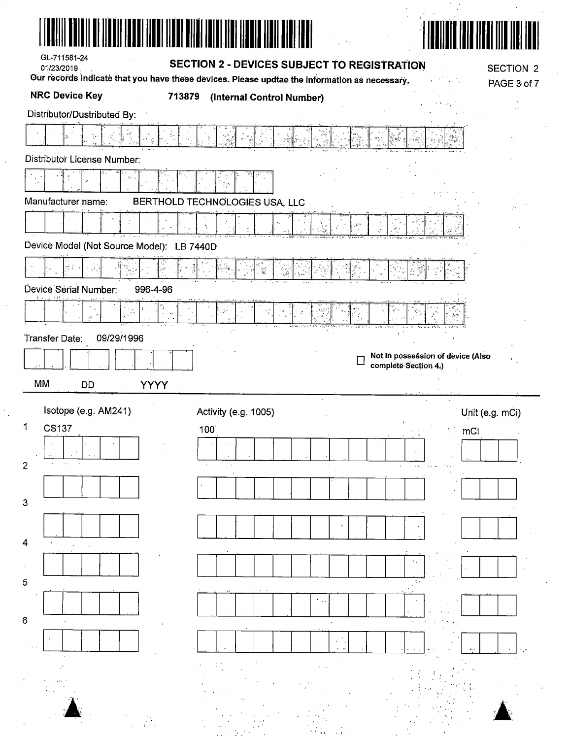| GL-711581-24<br>01/23/2019                | <b>SECTION 2 - DEVICES SUBJECT TO REGISTRATION</b>                                            | <b>SECTION 2</b>                                          |
|-------------------------------------------|-----------------------------------------------------------------------------------------------|-----------------------------------------------------------|
|                                           | Our records indicate that you have these devices. Please updtae the information as necessary. | PAGE 3 of 7                                               |
| <b>NRC Device Key</b>                     | 713879<br>(Internal Control Number)                                                           |                                                           |
| Distributor/Dustributed By:               |                                                                                               |                                                           |
|                                           |                                                                                               |                                                           |
| Distributor License Number:               |                                                                                               |                                                           |
|                                           |                                                                                               |                                                           |
| Manufacturer name:                        | BERTHOLD TECHNOLOGIES USA, LLC                                                                |                                                           |
|                                           |                                                                                               |                                                           |
| Device Model (Not Source Model): LB 7440D |                                                                                               |                                                           |
|                                           | $\frac{m^2}{24}$                                                                              | ទីទា<br>ពល                                                |
| Device Serial Number:<br>996-4-96         |                                                                                               |                                                           |
| $\mathbf{G}$                              |                                                                                               |                                                           |
| ψ.                                        |                                                                                               |                                                           |
| 09/29/1996<br>Transfer Date:              |                                                                                               |                                                           |
|                                           |                                                                                               | Not in possession of device (Also<br>complete Section 4.) |
| MM<br><b>YYYY</b><br><b>DD</b>            |                                                                                               |                                                           |
| Isotope (e.g. AM241)                      | Activity (e.g. 1005)                                                                          | Unit (e.g. mCi)                                           |
| ČS137<br>1                                | 100                                                                                           | mCi                                                       |
|                                           |                                                                                               |                                                           |
| $\overline{2}$                            |                                                                                               |                                                           |
|                                           |                                                                                               |                                                           |
| 3                                         |                                                                                               |                                                           |
|                                           |                                                                                               |                                                           |
|                                           |                                                                                               |                                                           |
| 4                                         |                                                                                               |                                                           |
|                                           |                                                                                               |                                                           |
| 5                                         |                                                                                               | 2.1                                                       |
|                                           | $\mathcal{F}$ .                                                                               |                                                           |
| $6\phantom{1}6$                           |                                                                                               |                                                           |
|                                           |                                                                                               |                                                           |
|                                           |                                                                                               |                                                           |
|                                           |                                                                                               |                                                           |
|                                           |                                                                                               |                                                           |
|                                           |                                                                                               |                                                           |
|                                           |                                                                                               |                                                           |

 $\frac{1}{2}$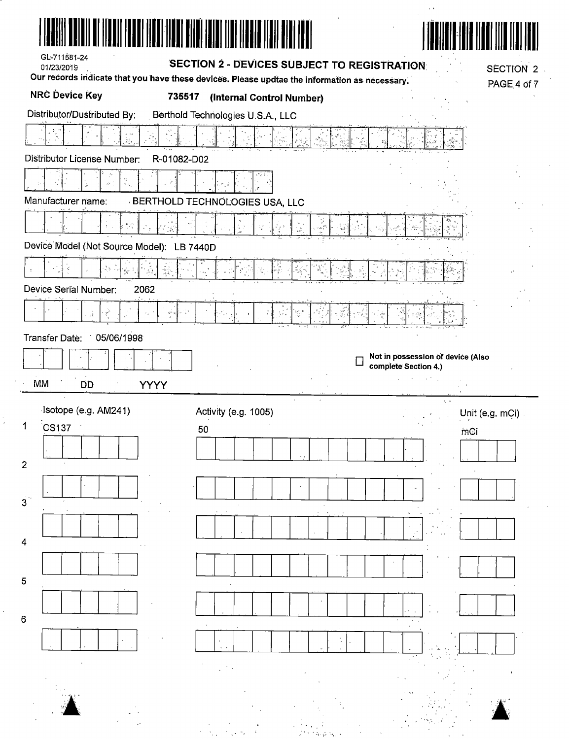| GL-711581-24<br>01/23/2019                                             | <b>SECTION 2 - DEVICES SUBJECT TO REGISTRATION</b>                                            | <b>SECTION 2</b>                                          |
|------------------------------------------------------------------------|-----------------------------------------------------------------------------------------------|-----------------------------------------------------------|
|                                                                        | Our records indicate that you have these devices. Please updtae the information as necessary. | PAGE 4 of 7                                               |
| <b>NRC Device Key</b><br>735517                                        | (Internal Control Number)                                                                     |                                                           |
| Distributor/Dustributed By:                                            | Berthold Technologies U.S.A., LLC                                                             |                                                           |
|                                                                        |                                                                                               |                                                           |
| Distributor License Number:<br>R-01082-D02                             |                                                                                               |                                                           |
|                                                                        |                                                                                               |                                                           |
| Manufacturer name:                                                     | <b>BERTHOLD TECHNOLOGIES USA, LLC</b>                                                         |                                                           |
|                                                                        |                                                                                               |                                                           |
| Device Model (Not Source Model): LB 7440D                              |                                                                                               |                                                           |
| 灵影<br>$\mathbf{p}_{\mathbf{q}^{\prime}}^{\star}$                       | S<br>್                                                                                        | $\frac{e}{\omega_{\mu}c}$                                 |
| Device Serial Number:<br>2062                                          |                                                                                               |                                                           |
|                                                                        |                                                                                               |                                                           |
|                                                                        |                                                                                               |                                                           |
| $\mathbf{S}^{\mathbf{S}^{\prime}}$ is<br>á<br>$\tilde{\gamma}^2$<br>k, | ζ,<br>-32.                                                                                    |                                                           |
| 05/06/1998                                                             |                                                                                               |                                                           |
|                                                                        |                                                                                               | Not in possession of device (Also<br>complete Section 4.) |
| Transfer Date:<br>MM<br><b>DD</b><br><b>YYYY</b>                       |                                                                                               | <b>Communities</b>                                        |
| Isotope (e.g. AM241)                                                   |                                                                                               | $\Delta$ $\Delta$                                         |
| CS137                                                                  | Activity (e.g. 1005)<br>50                                                                    | Unit (e.g. mCi)<br>$\Delta\sim 100$<br>mCi                |
|                                                                        |                                                                                               |                                                           |
|                                                                        |                                                                                               |                                                           |
|                                                                        |                                                                                               |                                                           |
|                                                                        |                                                                                               |                                                           |
|                                                                        |                                                                                               |                                                           |
|                                                                        |                                                                                               |                                                           |
|                                                                        |                                                                                               |                                                           |
|                                                                        |                                                                                               |                                                           |
|                                                                        |                                                                                               |                                                           |
|                                                                        |                                                                                               |                                                           |
|                                                                        |                                                                                               |                                                           |
|                                                                        |                                                                                               |                                                           |

 $\frac{1}{2}$ 

 $\frac{1}{2}$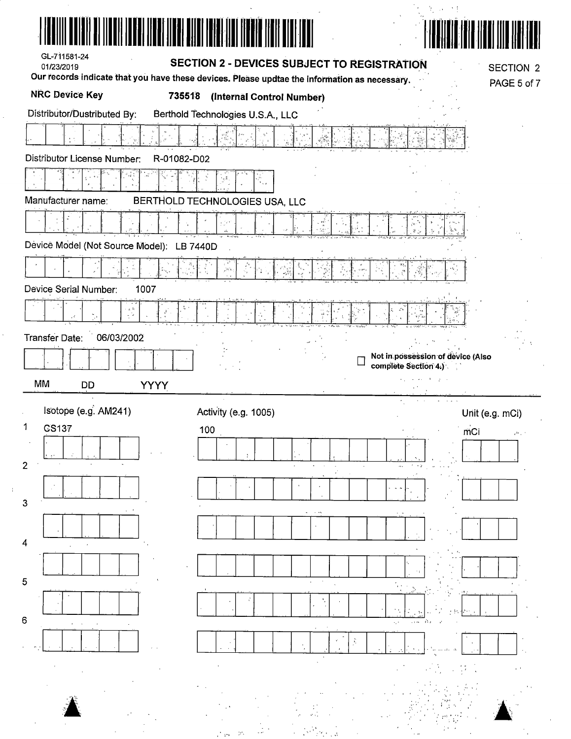| GL-711581-24<br>01/23/2019                                                                         |             | SECTION 2 - DEVICES SUBJECT TO REGISTRATION                                                                                |                                                           | <b>SECTION 2</b> |
|----------------------------------------------------------------------------------------------------|-------------|----------------------------------------------------------------------------------------------------------------------------|-----------------------------------------------------------|------------------|
| <b>NRC Device Key</b>                                                                              | 735518      | Our records indicate that you have these devices. Please updtae the information as necessary.<br>(Internal Control Number) |                                                           | PAGE 5 of 7      |
| Distributor/Dustributed By:                                                                        |             | Berthold Technologies U.S.A., LLC                                                                                          |                                                           |                  |
|                                                                                                    |             |                                                                                                                            |                                                           |                  |
| Distributor License Number:                                                                        | R-01082-D02 |                                                                                                                            |                                                           |                  |
|                                                                                                    |             |                                                                                                                            |                                                           |                  |
| Manufacturer name:                                                                                 |             | BERTHOLD TECHNOLOGIES USA, LLC                                                                                             |                                                           |                  |
|                                                                                                    |             |                                                                                                                            |                                                           |                  |
| Device Model (Not Source Model): LB 7440D                                                          |             |                                                                                                                            |                                                           |                  |
|                                                                                                    |             | а (с),                                                                                                                     |                                                           |                  |
| Device Serial Number:<br>1007                                                                      |             |                                                                                                                            |                                                           |                  |
| $\begin{array}{c} \mathbb{A} \xrightarrow{\Delta_1} \\ \mathbb{A} \xrightarrow{\iota} \end{array}$ |             |                                                                                                                            |                                                           |                  |
| Transfer Date:<br>06/03/2002                                                                       |             |                                                                                                                            |                                                           |                  |
|                                                                                                    |             |                                                                                                                            | Not in possession of device (Also<br>complete Section 4.) |                  |
|                                                                                                    |             |                                                                                                                            |                                                           |                  |
| MM<br>DD                                                                                           | <b>YYYY</b> |                                                                                                                            | جاوله فالمساجانيء                                         |                  |
| Isotope (e.g. AM241)                                                                               |             | Activity (e.g. 1005)                                                                                                       | Unit (e.g. mCi)                                           |                  |
| 1<br>CS137                                                                                         | 100         |                                                                                                                            | mCi                                                       |                  |
|                                                                                                    |             |                                                                                                                            |                                                           |                  |
| 2                                                                                                  |             |                                                                                                                            |                                                           |                  |
| 3                                                                                                  |             |                                                                                                                            |                                                           |                  |
|                                                                                                    |             |                                                                                                                            |                                                           |                  |
| 4                                                                                                  |             |                                                                                                                            |                                                           |                  |
|                                                                                                    |             |                                                                                                                            |                                                           |                  |
| 5                                                                                                  |             |                                                                                                                            |                                                           |                  |
| 6                                                                                                  |             |                                                                                                                            |                                                           |                  |
|                                                                                                    |             |                                                                                                                            |                                                           |                  |
|                                                                                                    |             |                                                                                                                            |                                                           |                  |
|                                                                                                    |             |                                                                                                                            |                                                           |                  |

 $\mathcal{F}_{\text{c}}$  ,  $\mathcal{F}_{\text{c}}$  ,  $\mathcal{F}_{\text{c}}$  ,  $\mathcal{F}_{\text{c}}$ 

' ..





Ŷ,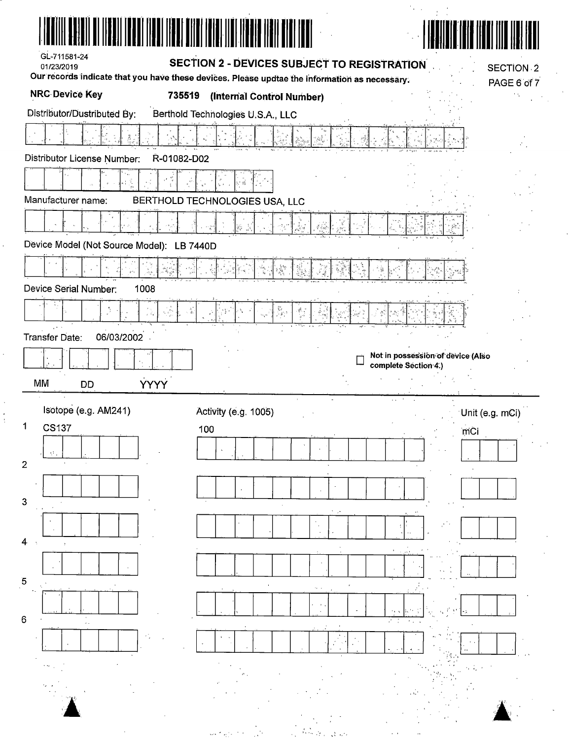| II I <b>nde</b> i Maei Maei Bitei Miel III Mae<br>GL-711581-24<br>01/23/2019<br>Our records indicate that you have these devices. Please updtae the information as necessary. | <b>SECTION 2 - DEVICES SUBJECT TO REGISTRATION</b> |        |                                                           | <b>SECTION 2</b><br>PAGE 6 of 7 |
|-------------------------------------------------------------------------------------------------------------------------------------------------------------------------------|----------------------------------------------------|--------|-----------------------------------------------------------|---------------------------------|
| <b>NRC Device Key</b><br>735519                                                                                                                                               | (Internal Control Number)                          |        |                                                           |                                 |
| Distributor/Dustributed By:                                                                                                                                                   | Berthold Technologies U.S.A., LLC                  |        |                                                           |                                 |
|                                                                                                                                                                               |                                                    |        |                                                           |                                 |
| Distributor License Number:<br>R-01082-D02                                                                                                                                    |                                                    |        |                                                           |                                 |
|                                                                                                                                                                               |                                                    |        |                                                           |                                 |
| Manufacturer name:                                                                                                                                                            | BERTHOLD TECHNOLOGIES USA, LLC                     |        |                                                           |                                 |
|                                                                                                                                                                               |                                                    |        |                                                           |                                 |
| Device Model (Not Source Model): LB 7440D                                                                                                                                     |                                                    |        |                                                           |                                 |
| $q, \ell, \ldots$                                                                                                                                                             |                                                    |        | $\mathcal{S}_\mathcal{F}$                                 |                                 |
| Device Serial Number:<br>1008                                                                                                                                                 |                                                    |        |                                                           |                                 |
| $\sigma_{\rm e} = \frac{2\pi}{3}$<br>i ki                                                                                                                                     | ်ကူး<br>(၁၉၇၁                                      |        |                                                           |                                 |
| 06/03/2002<br>Transfer Date:                                                                                                                                                  |                                                    |        |                                                           |                                 |
|                                                                                                                                                                               |                                                    |        | Not in possession of device (Also<br>complete Section 4.) |                                 |
|                                                                                                                                                                               |                                                    |        |                                                           |                                 |
| <b>YYYY</b><br>МM<br><b>DD</b>                                                                                                                                                |                                                    |        |                                                           |                                 |
|                                                                                                                                                                               |                                                    |        |                                                           |                                 |
| Isotope (e.g. AM241)<br>1                                                                                                                                                     | Activity (e.g. 1005)                               |        | Unit (e.g. mCi)                                           |                                 |
| <b>CS137</b>                                                                                                                                                                  | 100                                                |        | mCi                                                       |                                 |
| ν.<br>$\overline{2}$                                                                                                                                                          |                                                    |        |                                                           |                                 |
|                                                                                                                                                                               |                                                    |        |                                                           |                                 |
| 3                                                                                                                                                                             |                                                    |        |                                                           |                                 |
|                                                                                                                                                                               |                                                    |        |                                                           |                                 |
| 4                                                                                                                                                                             |                                                    |        |                                                           |                                 |
| 5                                                                                                                                                                             |                                                    |        |                                                           |                                 |
|                                                                                                                                                                               |                                                    | 14.14  |                                                           |                                 |
| 6                                                                                                                                                                             |                                                    | $\sim$ |                                                           |                                 |
|                                                                                                                                                                               |                                                    |        |                                                           |                                 |
|                                                                                                                                                                               |                                                    |        |                                                           |                                 |
|                                                                                                                                                                               |                                                    |        |                                                           |                                 |
|                                                                                                                                                                               |                                                    |        |                                                           |                                 |

 $\hat{\boldsymbol{\beta}}$ 

 $\frac{1}{2}$ 

 $\frac{1}{2}$ 

 $\frac{1}{2}$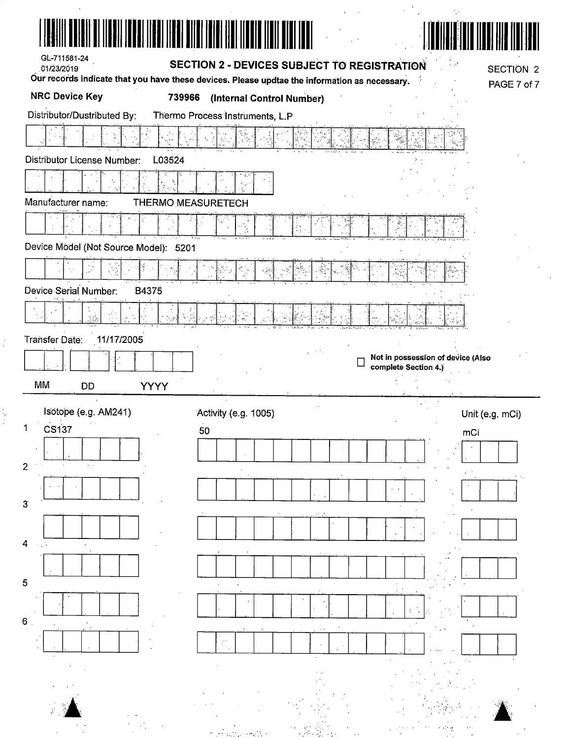| GL-711581-24<br>01/23/2019                                                                    | <b>SECTION 2 - DEVICES SUBJECT TO REGISTRATION</b> | <b>SECTION 2</b>                                          |  |
|-----------------------------------------------------------------------------------------------|----------------------------------------------------|-----------------------------------------------------------|--|
| Our records indicate that you have these devices. Please updtae the information as necessary. |                                                    | PAGE 7 of 7                                               |  |
| <b>NRC Device Key</b><br>739966                                                               | (Internal Control Number)                          |                                                           |  |
| Distributor/Dustributed By:                                                                   | Thermo Process Instruments, L.P                    |                                                           |  |
|                                                                                               |                                                    |                                                           |  |
| L03524<br>Distributor License Number:                                                         |                                                    |                                                           |  |
|                                                                                               |                                                    |                                                           |  |
| Manufacturer name:<br>THERMO MEASURETECH                                                      |                                                    |                                                           |  |
|                                                                                               |                                                    |                                                           |  |
| Device Model (Not Source Model): 5201                                                         |                                                    |                                                           |  |
|                                                                                               |                                                    |                                                           |  |
| Device Serial Number:<br>B4375                                                                |                                                    |                                                           |  |
| يون<br>گولونۍ                                                                                 |                                                    |                                                           |  |
| 11/17/2005<br><b>Transfer Date:</b>                                                           |                                                    |                                                           |  |
|                                                                                               |                                                    | Not in possession of device (Also<br>complete Section 4.) |  |
| MM<br><b>DD</b><br><b>YYYY</b>                                                                |                                                    |                                                           |  |
| Isotope (e.g. AM241)                                                                          | Activity (e.g. 1005)                               |                                                           |  |
| CS137<br>1                                                                                    | 50                                                 | Unit (e.g. mCi)<br>mCi                                    |  |
|                                                                                               |                                                    |                                                           |  |
| 2                                                                                             |                                                    |                                                           |  |
|                                                                                               |                                                    |                                                           |  |
| 3                                                                                             |                                                    |                                                           |  |
|                                                                                               |                                                    |                                                           |  |
| 4                                                                                             |                                                    |                                                           |  |
|                                                                                               |                                                    |                                                           |  |
|                                                                                               |                                                    |                                                           |  |
| 5                                                                                             |                                                    |                                                           |  |
|                                                                                               |                                                    |                                                           |  |
|                                                                                               |                                                    |                                                           |  |
| 6 <sub>1</sub>                                                                                |                                                    |                                                           |  |
|                                                                                               |                                                    |                                                           |  |
|                                                                                               |                                                    |                                                           |  |

 $\frac{1}{2}$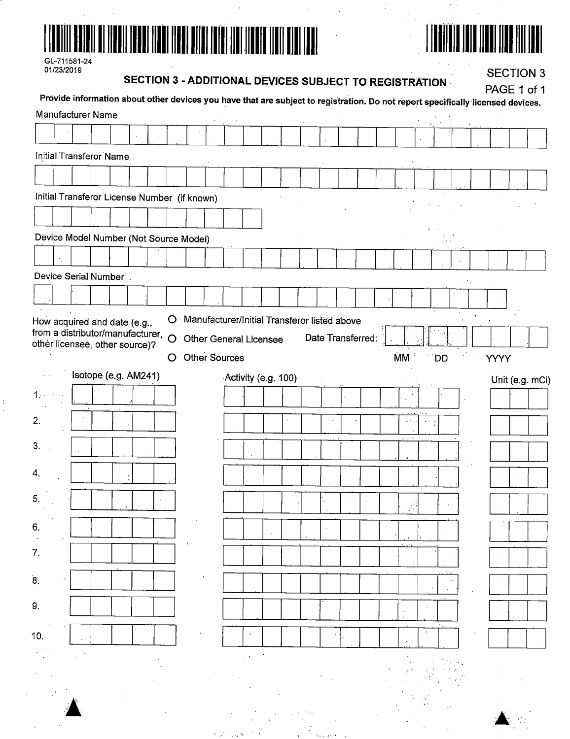



| GL-711581-24 |
|--------------|
| 01/23/2019   |

# **SECTION 3 - ADDITIONAL DEVICES SUBJECT TO REGISTRATION**

 $\label{eq:2.1} \frac{1}{\sqrt{2}}\int_{\mathbb{R}^3}\frac{1}{\sqrt{2}}\left(\frac{1}{\sqrt{2}}\right)^2\frac{1}{\sqrt{2}}\left(\frac{1}{\sqrt{2}}\right)^2\frac{1}{\sqrt{2}}\left(\frac{1}{\sqrt{2}}\right)^2.$ 

**SECTION 3** 

 $\mathbf{v}$  and

|     |  | Manufacturer Name                                                        |  |   |                                              |  |  |                               |                     |                                              |  |                   |                    |     |  | Provide information about other devices you have that are subject to registration. Do not report specifically licensed devices. |                 |
|-----|--|--------------------------------------------------------------------------|--|---|----------------------------------------------|--|--|-------------------------------|---------------------|----------------------------------------------|--|-------------------|--------------------|-----|--|---------------------------------------------------------------------------------------------------------------------------------|-----------------|
|     |  |                                                                          |  |   |                                              |  |  |                               |                     |                                              |  |                   |                    |     |  |                                                                                                                                 |                 |
|     |  | Initial Transferor Name                                                  |  |   |                                              |  |  |                               |                     |                                              |  |                   |                    |     |  |                                                                                                                                 |                 |
|     |  |                                                                          |  |   |                                              |  |  |                               |                     |                                              |  |                   |                    |     |  |                                                                                                                                 |                 |
|     |  |                                                                          |  |   | Initial Transferor License Number (if known) |  |  |                               |                     |                                              |  |                   |                    |     |  |                                                                                                                                 |                 |
|     |  |                                                                          |  |   |                                              |  |  |                               |                     |                                              |  |                   |                    |     |  |                                                                                                                                 |                 |
|     |  |                                                                          |  |   | Device Model Number (Not Source Model)       |  |  |                               |                     |                                              |  |                   |                    |     |  |                                                                                                                                 |                 |
|     |  |                                                                          |  |   |                                              |  |  |                               |                     |                                              |  |                   |                    |     |  |                                                                                                                                 |                 |
|     |  | Device Serial Number.                                                    |  |   |                                              |  |  |                               |                     |                                              |  |                   |                    |     |  |                                                                                                                                 |                 |
|     |  |                                                                          |  |   |                                              |  |  |                               |                     |                                              |  |                   |                    |     |  |                                                                                                                                 |                 |
|     |  |                                                                          |  | O |                                              |  |  |                               |                     | Manufacturer/Initial Transferor listed above |  |                   |                    |     |  |                                                                                                                                 |                 |
|     |  | How acquired and date (e.g.,<br>from a distributor/manufacturer, $\circ$ |  |   |                                              |  |  | <b>Other General Licensee</b> |                     |                                              |  | Date Transferred: |                    |     |  |                                                                                                                                 |                 |
|     |  | other licensee, other source)?                                           |  | O | <b>Other Sources</b>                         |  |  |                               |                     |                                              |  |                   | <b>MM</b>          | DD. |  | YYYY                                                                                                                            |                 |
|     |  | Isotope (e.g. AM241)                                                     |  |   |                                              |  |  |                               | Activity (e.g. 100) |                                              |  |                   |                    |     |  |                                                                                                                                 | Unit (e.g. mCi) |
|     |  |                                                                          |  |   |                                              |  |  |                               |                     |                                              |  |                   |                    |     |  |                                                                                                                                 |                 |
| 2.  |  |                                                                          |  |   |                                              |  |  |                               |                     |                                              |  |                   | $\sim$ $^{\prime}$ |     |  |                                                                                                                                 |                 |
|     |  |                                                                          |  |   |                                              |  |  |                               |                     |                                              |  |                   |                    |     |  |                                                                                                                                 |                 |
| 3.  |  |                                                                          |  |   |                                              |  |  |                               |                     |                                              |  |                   |                    |     |  |                                                                                                                                 |                 |
| 4.  |  |                                                                          |  |   |                                              |  |  |                               |                     |                                              |  |                   |                    |     |  |                                                                                                                                 |                 |
| 5.  |  |                                                                          |  |   |                                              |  |  |                               |                     |                                              |  |                   |                    |     |  |                                                                                                                                 |                 |
|     |  |                                                                          |  |   |                                              |  |  |                               |                     |                                              |  |                   | 12.4               |     |  |                                                                                                                                 |                 |
| 6.  |  |                                                                          |  |   |                                              |  |  |                               |                     |                                              |  |                   |                    |     |  |                                                                                                                                 |                 |
| 7.  |  |                                                                          |  |   |                                              |  |  |                               |                     |                                              |  |                   |                    |     |  |                                                                                                                                 |                 |
| 8.  |  |                                                                          |  |   |                                              |  |  |                               |                     |                                              |  |                   |                    |     |  |                                                                                                                                 |                 |
| 9.  |  |                                                                          |  |   |                                              |  |  |                               |                     |                                              |  |                   |                    |     |  |                                                                                                                                 |                 |
|     |  |                                                                          |  |   |                                              |  |  |                               |                     |                                              |  |                   |                    |     |  |                                                                                                                                 |                 |
| 10. |  |                                                                          |  |   |                                              |  |  |                               |                     |                                              |  |                   |                    |     |  |                                                                                                                                 |                 |
|     |  |                                                                          |  |   |                                              |  |  |                               |                     |                                              |  |                   |                    |     |  |                                                                                                                                 |                 |
|     |  |                                                                          |  |   |                                              |  |  |                               |                     |                                              |  |                   |                    |     |  |                                                                                                                                 |                 |
|     |  |                                                                          |  |   |                                              |  |  |                               |                     |                                              |  |                   |                    |     |  |                                                                                                                                 |                 |

a a chuid ann an Chuid anns an t-ainm an t-ainm an t-ainm an t-ainm an t-ainm an t-ainm an t-ainm an t-ainm an<br>T-ainm an t-ainm an t-ainm an t-ainm an t-ainm an t-ainm an t-ainm an t-ainm an t-ainm an t-ainm an t-ainm an

 $\hat{\rho}$  ,  $\hat{\rho}$  ,  $\hat{\rho}$  ,  $\hat{\rho}$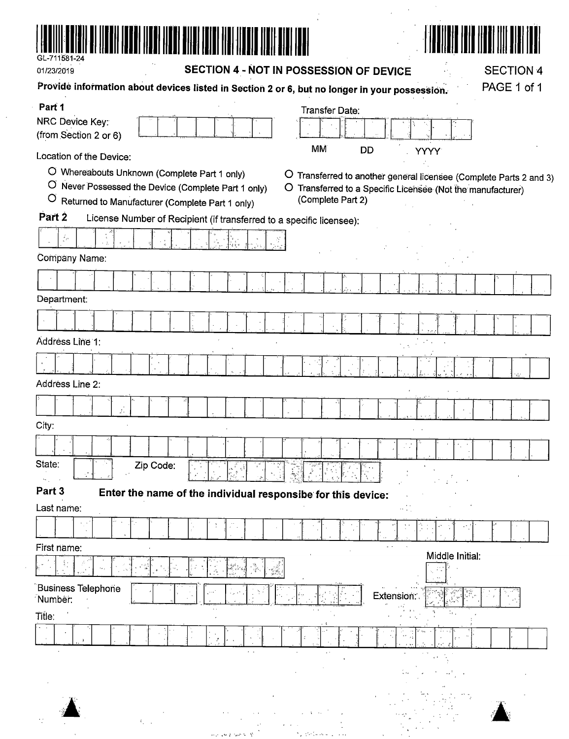

| 01/23/2019                                                                                                                                                        | <b>SECTION 4 - NOT IN POSSESSION OF DEVICE</b>                                                                  | <b>SECTION 4</b><br>PAGE 1 of 1                                                                                               |
|-------------------------------------------------------------------------------------------------------------------------------------------------------------------|-----------------------------------------------------------------------------------------------------------------|-------------------------------------------------------------------------------------------------------------------------------|
| Part 1                                                                                                                                                            | Providé information about devices listed in Section 2 or 6, but no longer in your possession.<br>Transfer Date: |                                                                                                                               |
| NRC Device Key:<br>(from Section 2 or 6)                                                                                                                          |                                                                                                                 |                                                                                                                               |
| Location of the Device:                                                                                                                                           | <b>MM</b><br><b>DD</b>                                                                                          | <b>YYYY</b>                                                                                                                   |
| O Whereabouts Unknown (Complete Part 1 only)<br>O Never Possessed the Device (Complete Part 1 only)<br>$\circ$<br>Returned to Manufacturer (Complete Part 1 only) | $\circ$<br>$\circ$<br>(Complete Part 2)                                                                         | Transferred to another general licensee (Complete Parts 2 and 3)<br>Transferred to a Specific Licensee (Not the manufacturer) |
| Part <sub>2</sub>                                                                                                                                                 | License Number of Recipient (if transferred to a specific licensee):                                            |                                                                                                                               |
| $\frac{d}{d\sigma}$                                                                                                                                               |                                                                                                                 |                                                                                                                               |
| Company Name:                                                                                                                                                     |                                                                                                                 |                                                                                                                               |
|                                                                                                                                                                   |                                                                                                                 |                                                                                                                               |
| Department:                                                                                                                                                       |                                                                                                                 |                                                                                                                               |
|                                                                                                                                                                   |                                                                                                                 |                                                                                                                               |
| Address Line 1:                                                                                                                                                   |                                                                                                                 |                                                                                                                               |
|                                                                                                                                                                   |                                                                                                                 |                                                                                                                               |
| Address Line 2:                                                                                                                                                   |                                                                                                                 |                                                                                                                               |
|                                                                                                                                                                   |                                                                                                                 |                                                                                                                               |
| City:                                                                                                                                                             |                                                                                                                 |                                                                                                                               |
|                                                                                                                                                                   |                                                                                                                 |                                                                                                                               |
| State:<br>Zip Code:                                                                                                                                               |                                                                                                                 |                                                                                                                               |
| Part 3                                                                                                                                                            | Enter the name of the individual responsibe for this device:                                                    |                                                                                                                               |
| Last name:                                                                                                                                                        |                                                                                                                 |                                                                                                                               |
|                                                                                                                                                                   |                                                                                                                 |                                                                                                                               |
| First name:                                                                                                                                                       |                                                                                                                 | Middle Initial:                                                                                                               |
|                                                                                                                                                                   |                                                                                                                 |                                                                                                                               |
| <b>Business Telephone</b><br>Number:                                                                                                                              |                                                                                                                 | Extension:                                                                                                                    |
| Title:                                                                                                                                                            |                                                                                                                 | $\mathcal{A}_{\mathcal{A}}$ .                                                                                                 |
|                                                                                                                                                                   |                                                                                                                 |                                                                                                                               |
|                                                                                                                                                                   | $\epsilon$ . $\epsilon$                                                                                         |                                                                                                                               |
|                                                                                                                                                                   |                                                                                                                 |                                                                                                                               |
|                                                                                                                                                                   |                                                                                                                 |                                                                                                                               |

 $\label{eq:G1} \begin{split} \mathcal{G}_{\mu\nu}(\omega) &= \frac{1}{\sqrt{2\pi}}\int_{\mathbb{R}^3} \left( \frac{1}{\sqrt{2\pi}} \frac{1}{\sqrt{2\pi}} \frac{1}{\sqrt{2\pi}} \frac{1}{\sqrt{2\pi}} \frac{1}{\sqrt{2\pi}} \frac{1}{\sqrt{2\pi}} \frac{1}{\sqrt{2\pi}} \frac{1}{\sqrt{2\pi}} \frac{1}{\sqrt{2\pi}} \frac{1}{\sqrt{2\pi}} \frac{1}{\sqrt{2\pi}} \frac{1}{\sqrt{2\pi}} \frac{1}{\sqrt{2\pi}} \frac{1}{\sqrt{2$ 

 $\begin{split} \mathcal{L}^{(1)}(x) &= \frac{1}{2} \sum_{\substack{ \alpha \in \mathbb{Z}^n \\ \alpha \in \mathbb{Z}^n \\ \alpha \in \mathbb{Z}^n \\ \alpha \in \mathbb{Z}^n \\ \alpha \in \mathbb{Z}^n \\ \alpha \in \mathbb{Z}^n \end{split}$ 

 $\mathcal{L}^{\mathcal{L}}$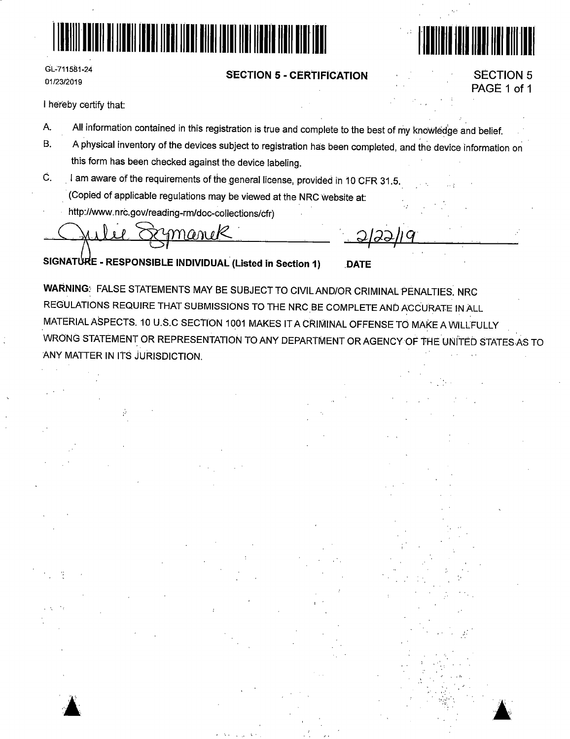



## **s:ECTION 5** - **CERTIFICATION**

SECTION 5 PAGE 1 of 1

I hereby certify that:

GL~711581-24 01/23/2019

- A. All information contained in this registration is true and complete to the best of my knowledge and belief.
- B. A physical inventory of the devices subject to registration has been completed, and the device information on this form has been checked against the device labeling.
- C. I am aware of the requirements of the general license, provided in 10 CFR 31.5. (Copied of applicable regulations may be viewed at the NRC website at:
	- http://www.nrc.gov/reading-rm/doc-collections/cfr)

Quilée Symanuk

**SIG~ E** - **RESPONSIBLE INDIVIDUAL (Listed in Section 1) .DATE** 

**WARNING:** FALSE STATEMENTS MAY BE SUBJECT TO CIVILAND/OR CRIMINAL PENALTIES. NRG REGULATIONS REQUIRE THAT SUBMISSIONS TO THE NRC BE COMPLETE AND ACCURATE IN ALL MATERIAL ASPECTS. 10 U.S.C SECTION 1001 MAKES IT A CRIMINAL OFFENSE TO MAKE A WILLFULLY WRONG STATEMENT OR REPRESENTATION TO ANY DEPARTMENT OR AGENCY·OF THE UNITED STATES.AS TO ANY MATTER IN ITS JURISDICTION.



·'· •••• •••  $: \cdot \cdot$ " '.~